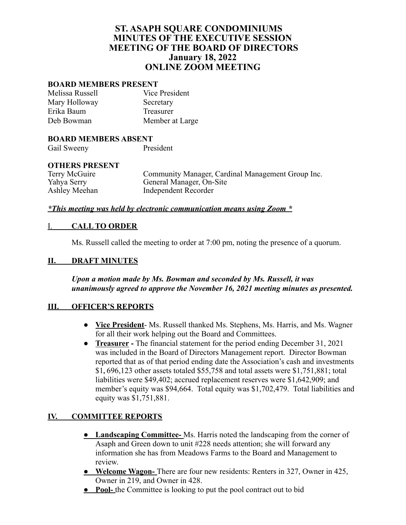# **ST. ASAPH SQUARE CONDOMINIUMS MINUTES OF THE EXECUTIVE SESSION MEETING OF THE BOARD OF DIRECTORS January 18, 2022 ONLINE ZOOM MEETING**

### **BOARD MEMBERS PRESENT**

| Melissa Russell | Vice President  |
|-----------------|-----------------|
| Mary Holloway   | Secretary       |
| Erika Baum      | Treasurer       |
| Deb Bowman      | Member at Large |

#### **BOARD MEMBERS ABSENT**

Gail Sweeny President

### **OTHERS PRESENT**

Terry McGuire Community Manager, Cardinal Management Group Inc.<br>
Yahya Serry General Manager, On-Site Yahya Serry General Manager, On-Site<br>Ashley Meehan Independent Recorder Independent Recorder

#### *\*This meeting was held by electronic communication means using Zoom \**

### I. **CALL TO ORDER**

Ms. Russell called the meeting to order at 7:00 pm, noting the presence of a quorum.

### **II. DRAFT MINUTES**

*Upon a motion made by Ms. Bowman and seconded by Ms. Russell, it was unanimously agreed to approve the November 16, 2021 meeting minutes as presented.*

### **III. OFFICER'S REPORTS**

- **Vice President** Ms. Russell thanked Ms. Stephens, Ms. Harris, and Ms. Wagner for all their work helping out the Board and Committees.
- **Treasurer -** The financial statement for the period ending December 31, 2021 was included in the Board of Directors Management report. Director Bowman reported that as of that period ending date the Association's cash and investments \$1**,** 696,123 other assets totaled \$55,758 and total assets were \$1,751,881; total liabilities were \$49,402; accrued replacement reserves were \$1,642,909; and member's equity was \$94,664. Total equity was \$1,702,479. Total liabilities and equity was \$1,751,881.

### **IV. COMMITTEE REPORTS**

- **● Landscaping Committee-** Ms. Harris noted the landscaping from the corner of Asaph and Green down to unit #228 needs attention; she will forward any information she has from Meadows Farms to the Board and Management to review.
- **● Welcome Wagon-** There are four new residents: Renters in 327, Owner in 425, Owner in 219, and Owner in 428.
- **● Pool-** the Committee is looking to put the pool contract out to bid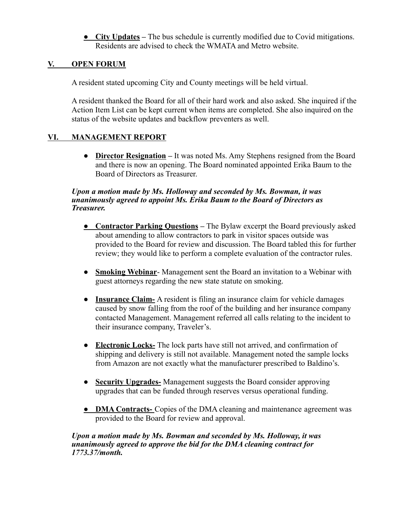**● City Updates –** The bus schedule is currently modified due to Covid mitigations. Residents are advised to check the WMATA and Metro website.

## **V. OPEN FORUM**

A resident stated upcoming City and County meetings will be held virtual.

A resident thanked the Board for all of their hard work and also asked. She inquired if the Action Item List can be kept current when items are completed. She also inquired on the status of the website updates and backflow preventers as well.

## **VI. MANAGEMENT REPORT**

**● Director Resignation –** It was noted Ms. Amy Stephens resigned from the Board and there is now an opening. The Board nominated appointed Erika Baum to the Board of Directors as Treasurer.

### *Upon a motion made by Ms. Holloway and seconded by Ms. Bowman, it was unanimously agreed to appoint Ms. Erika Baum to the Board of Directors as Treasurer.*

- **● Contractor Parking Questions –** The Bylaw excerpt the Board previously asked about amending to allow contractors to park in visitor spaces outside was provided to the Board for review and discussion. The Board tabled this for further review; they would like to perform a complete evaluation of the contractor rules.
- *●* **Smoking Webinar** Management sent the Board an invitation to a Webinar with guest attorneys regarding the new state statute on smoking.
- *●* **Insurance Claim-** A resident is filing an insurance claim for vehicle damages caused by snow falling from the roof of the building and her insurance company contacted Management. Management referred all calls relating to the incident to their insurance company, Traveler's.
- **Electronic Locks-** The lock parts have still not arrived, and confirmation of shipping and delivery is still not available. Management noted the sample locks from Amazon are not exactly what the manufacturer prescribed to Baldino's.
- *●* **Security Upgrades-** Management suggests the Board consider approving upgrades that can be funded through reserves versus operational funding.
- **● DMA Contracts-** Copies of the DMA cleaning and maintenance agreement was provided to the Board for review and approval.

#### *Upon a motion made by Ms. Bowman and seconded by Ms. Holloway, it was unanimously agreed to approve the bid for the DMA cleaning contract for 1773.37/month.*